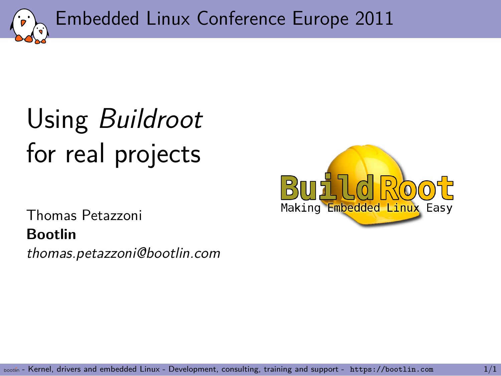Embedded Linux Conference Europe 2011

# Using *Buildroot* for real projects

Thomas Petazzoni **Bootlin** *thomas.petazzoni@bootlin.com*

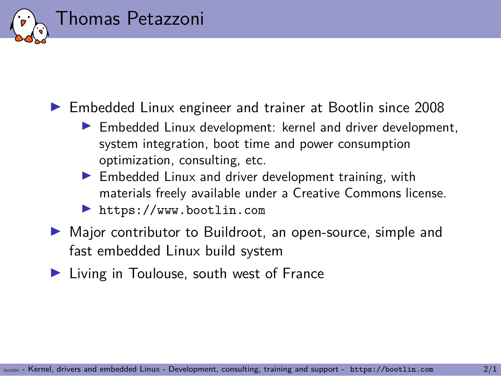### Thomas Petazzoni

- ▶ Embedded Linux engineer and trainer at Bootlin since 2008
	- ▶ Embedded Linux development: kernel and driver development, system integration, boot time and power consumption optimization, consulting, etc.
	- ▶ Embedded Linux and driver development training, with materials freely available under a Creative Commons license.
	- ▶ https://www.bootlin.com
- ▶ Major contributor to Buildroot, an open-source, simple and fast embedded Linux build system
- ▶ Living in Toulouse, south west of France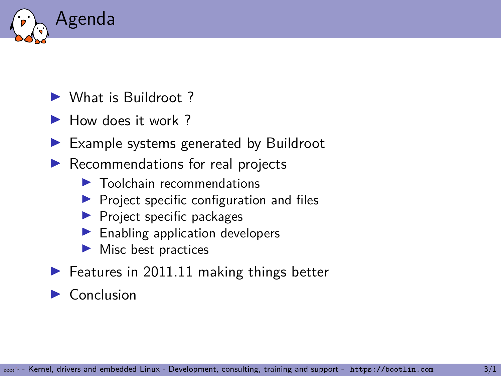

- ▶ What is Buildroot ?
- ▶ How does it work?
- ▶ Example systems generated by Buildroot
- ▶ Recommendations for real projects
	- ▶ Toolchain recommendations
	- ▶ Project specific configuration and files
	- ▶ Project specific packages
	- ▶ Enabling application developers
	- ▶ Misc best practices
- $\blacktriangleright$  Features in 2011.11 making things better

### ▶ Conclusion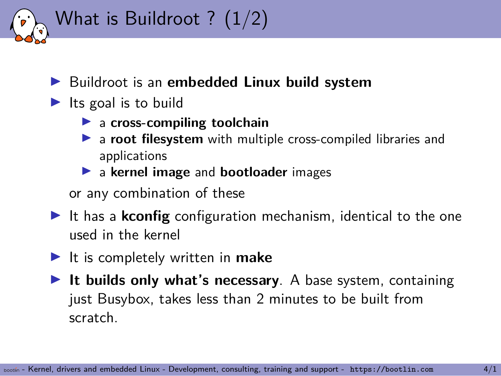

### ▶ Buildroot is an **embedded Linux build system**

- $\blacktriangleright$  Its goal is to build
	- ▶ a **cross-compiling toolchain**
	- ▶ a **root filesystem** with multiple cross-compiled libraries and applications
	- ▶ a **kernel image** and **bootloader** images

or any combination of these

- ▶ It has a **kconfig** configuration mechanism, identical to the one used in the kernel
- ▶ It is completely written in **make**
- ▶ It builds only what's necessary. A base system, containing just Busybox, takes less than 2 minutes to be built from scratch.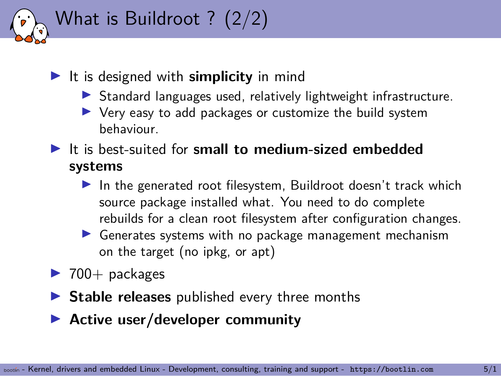

### ▶ It is designed with **simplicity** in mind

- ▶ Standard languages used, relatively lightweight infrastructure.
- ▶ Very easy to add packages or customize the build system behaviour.
- ▶ It is best-suited for **small to medium-sized embedded systems**
	- $\blacktriangleright$  In the generated root filesystem, Buildroot doesn't track which source package installed what. You need to do complete rebuilds for a clean root filesystem after configuration changes.
	- ▶ Generates systems with no package management mechanism on the target (no ipkg, or apt)
- $\blacktriangleright$  700+ packages
- ▶ Stable releases published every three months
- ▶ **Active user/developer community**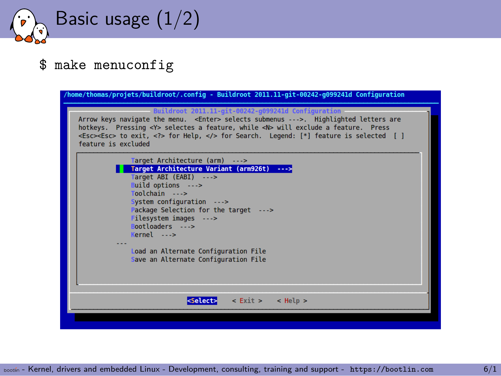Basic usage (1/2)

#### \$ make menuconfig

| /home/thomas/projets/buildroot/.config - Buildroot 2011.11-git-00242-q099241d Configuration                                                                                                                                                                                                                                                                                     |
|---------------------------------------------------------------------------------------------------------------------------------------------------------------------------------------------------------------------------------------------------------------------------------------------------------------------------------------------------------------------------------|
| Buildroot 2011.11-git-00242-g099241d Configuration<br>Arrow keys navigate the menu. <enter> selects submenus ---&gt;. Highlighted letters are<br/>hotkeys. Pressing <y> selectes a feature, while <n> will exclude a feature. Press<br/><esc><esc> to exit, <? > for Help,  for Search. Legend: [*] feature is selected [ ]<br/>feature is excluded</esc></esc></n></y></enter> |
| Target Architecture (arm) ---><br>Target Architecture Variant (arm926t) ---><br>Target ABI (EABI) ---><br>Build options ---><br>Toolchain ---><br>System configuration ---><br>Package Selection for the target ---><br>Filesystem images ---><br>Bootloaders ---><br>$Kernel \t---$<br>Load an Alternate Configuration File<br>Save an Alternate Configuration File            |
| $\le$ Exit > $\le$ Help ><br><select></select>                                                                                                                                                                                                                                                                                                                                  |
|                                                                                                                                                                                                                                                                                                                                                                                 |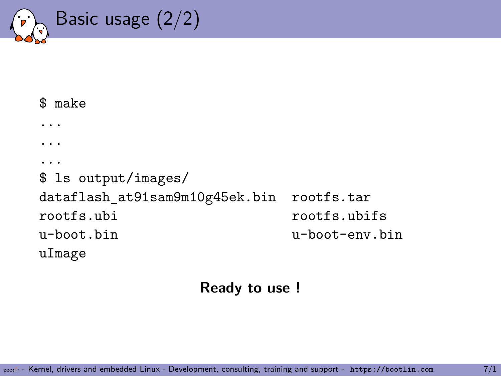

```
$ make
...
...
...
$ ls output/images/
dataflash_at91sam9m10g45ek.bin rootfs.tar
rootfs.ubi rootfs.ubifs
u-boot.bin u-boot-env.bin
uImage
```
**Ready to use !**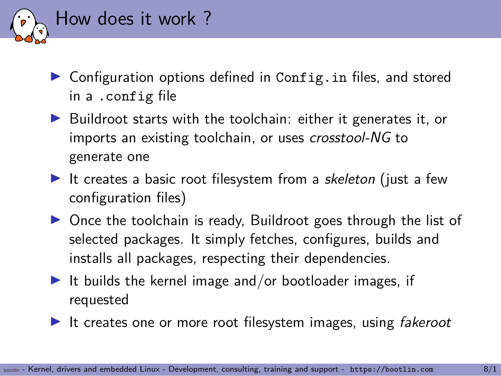

- ▶ Configuration options defined in Config.in files, and stored in a .config file
- ▶ Buildroot starts with the toolchain: either it generates it, or imports an existing toolchain, or uses *crosstool-NG* to generate one
- ▶ It creates a basic root filesystem from a *skeleton* (just a few configuration files)
- ▶ Once the toolchain is ready, Buildroot goes through the list of selected packages. It simply fetches, configures, builds and installs all packages, respecting their dependencies.
- $\blacktriangleright$  It builds the kernel image and/or bootloader images, if requested
- ▶ It creates one or more root filesystem images, using *fakeroot*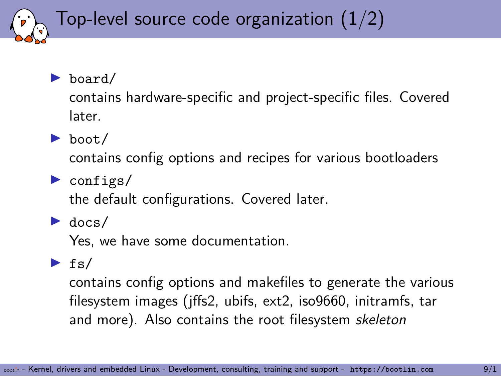### Top-level source code organization (1/2)

### ▶ board/

contains hardware-specific and project-specific files. Covered later.

▶ boot/

contains config options and recipes for various bootloaders

 $\blacktriangleright$  configs/

the default configurations. Covered later.

#### $\blacktriangleright$  docs/

Yes, we have some documentation.

### $\blacktriangleright$  fs/

contains config options and makefiles to generate the various filesystem images (jffs2, ubifs, ext2, iso9660, initramfs, tar and more). Also contains the root filesystem *skeleton*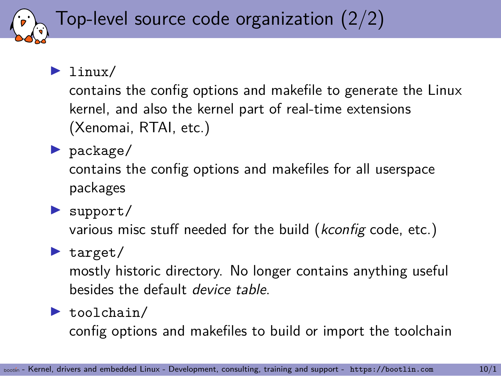### Top-level source code organization (2/2)

 $\blacktriangleright$  linux/

contains the config options and makefile to generate the Linux kernel, and also the kernel part of real-time extensions (Xenomai, RTAI, etc.)

▶ package/

contains the config options and makefiles for all userspace packages

▶ support/

various misc stuff needed for the build (*kconfig* code, etc.)

### $\blacktriangleright$  target/

mostly historic directory. No longer contains anything useful besides the default *device table*.

#### ▶ toolchain/

config options and makefiles to build or import the toolchain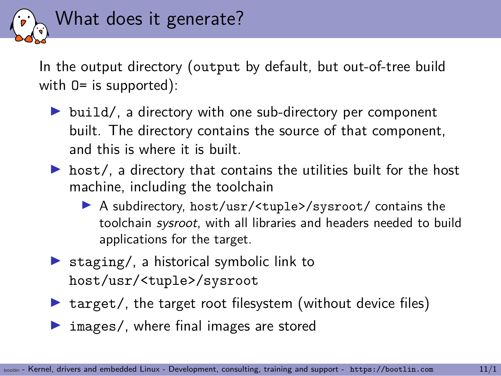

In the output directory (output by default, but out-of-tree build with  $0=$  is supported):

- ▶ build/, a directory with one sub-directory per component built. The directory contains the source of that component, and this is where it is built.
- $\triangleright$  host/, a directory that contains the utilities built for the host machine, including the toolchain
	- ▶ A subdirectory, host/usr/<tuple>/sysroot/ contains the toolchain *sysroot*, with all libraries and headers needed to build applications for the target.
- ▶ staging/, a historical symbolic link to host/usr/<tuple>/sysroot
- $\triangleright$  target/, the target root filesystem (without device files)
- ▶ images/, where final images are stored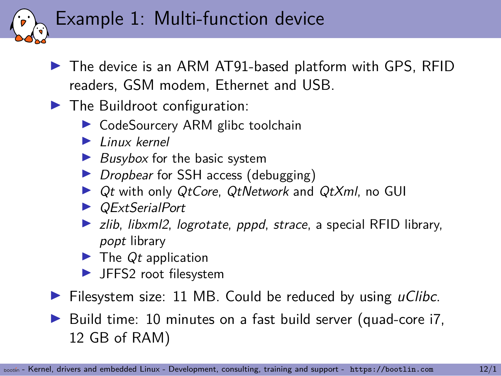### Example 1: Multi-function device

- ▶ The device is an ARM AT91-based platform with GPS, RFID readers, GSM modem, Ethernet and USB.
- ▶ The Buildroot configuration:
	- ▶ CodeSourcery ARM glibc toolchain
	- ▶ *Linux kernel*
	- ▶ *Busybox* for the basic system
	- ▶ *Dropbear* for SSH access (debugging)
	- ▶ *Qt* with only *QtCore*, *QtNetwork* and *QtXml*, no GUI
	- ▶ *QExtSerialPort*
	- ▶ *zlib*, *libxml2*, *logrotate*, *pppd*, *strace*, a special RFID library, *popt* library
	- ▶ The *Qt* application
	- ▶ JFFS2 root filesystem
- ▶ Filesystem size: 11 MB. Could be reduced by using *uClibc*.
- ▶ Build time: 10 minutes on a fast build server (quad-core i7, 12 GB of RAM)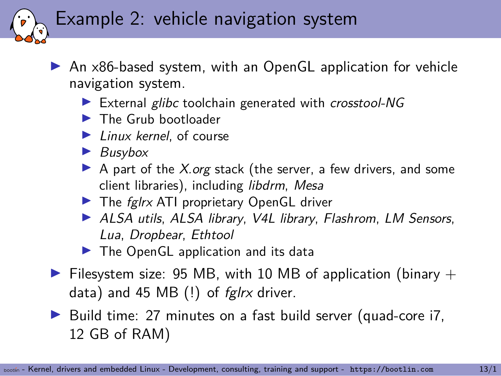### Example 2: vehicle navigation system

▶ An x86-based system, with an OpenGL application for vehicle navigation system.

- ▶ External *glibc* toolchain generated with *crosstool-NG*
- ▶ The Grub bootloader
- ▶ *Linux kernel*, of course
- ▶ *Busybox*
- ▶ A part of the *X.org* stack (the server, a few drivers, and some client libraries), including *libdrm*, *Mesa*
- ▶ The *fglrx* ATI proprietary OpenGL driver
- ▶ *ALSA utils*, *ALSA library*, *V4L library*, *Flashrom*, *LM Sensors*, *Lua*, *Dropbear*, *Ethtool*
- ▶ The OpenGL application and its data
- $\triangleright$  Filesystem size: 95 MB, with 10 MB of application (binary  $+$ data) and 45 MB (!) of *fglrx* driver.
- ▶ Build time: 27 minutes on a fast build server (quad-core i7, 12 GB of RAM)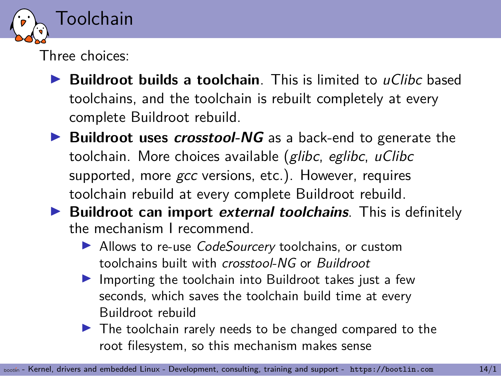

Three choices:

- ▶ **Buildroot builds a toolchain**. This is limited to *uClibc* based toolchains, and the toolchain is rebuilt completely at every complete Buildroot rebuild.
- ▶ **Buildroot uses** *crosstool-NG* as a back-end to generate the toolchain. More choices available (*glibc*, *eglibc*, *uClibc* supported, more *gcc* versions, etc.). However, requires toolchain rebuild at every complete Buildroot rebuild.
- ▶ **Buildroot can import** *external toolchains*. This is definitely the mechanism I recommend.
	- ▶ Allows to re-use *CodeSourcery* toolchains, or custom toolchains built with *crosstool-NG* or *Buildroot*
	- ▶ Importing the toolchain into Buildroot takes just a few seconds, which saves the toolchain build time at every Buildroot rebuild
	- ▶ The toolchain rarely needs to be changed compared to the root filesystem, so this mechanism makes sense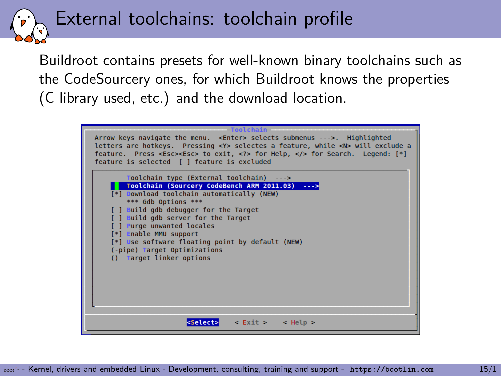External toolchains: toolchain profile

Buildroot contains presets for well-known binary toolchains such as the CodeSourcery ones, for which Buildroot knows the properties (C library used, etc.) and the download location.

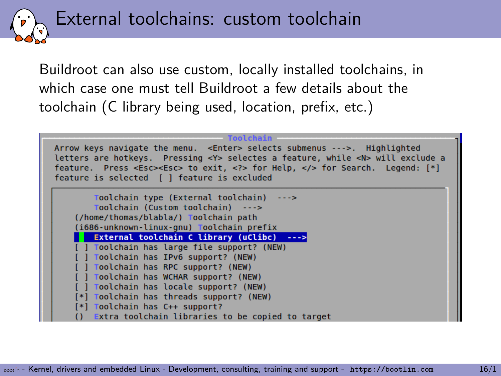External toolchains: custom toolchain

Buildroot can also use custom, locally installed toolchains, in which case one must tell Buildroot a few details about the toolchain (C library being used, location, prefix, etc.)

| Toolchain<br>Arrow keys navigate the menu. <enter> selects submenus ---&gt;. Highlighted<br/>letters are hotkeys. Pressing <y> selectes a feature, while <n> will exclude a<br/>feature. Press <esc><esc> to exit, <? > for Help,  for Search. Legend: [*]<br/>feature is selected [ ] feature is excluded</esc></esc></n></y></enter> |
|----------------------------------------------------------------------------------------------------------------------------------------------------------------------------------------------------------------------------------------------------------------------------------------------------------------------------------------|
| Toolchain type (External toolchain) --->                                                                                                                                                                                                                                                                                               |
| Toolchain (Custom toolchain) --->                                                                                                                                                                                                                                                                                                      |
| (/home/thomas/blabla/) Toolchain path                                                                                                                                                                                                                                                                                                  |
| (1686-unknown-linux-gnu) Toolchain prefix                                                                                                                                                                                                                                                                                              |
| External toolchain C library (uClibc) --->                                                                                                                                                                                                                                                                                             |
| [ ] Toolchain has large file support? (NEW)                                                                                                                                                                                                                                                                                            |
| [ ] Toolchain has IPv6 support? (NEW)                                                                                                                                                                                                                                                                                                  |
| [ ] Toolchain has RPC support? (NEW)                                                                                                                                                                                                                                                                                                   |
| [ ] Toolchain has WCHAR support? (NEW)                                                                                                                                                                                                                                                                                                 |
| Toolchain has locale support? (NEW)                                                                                                                                                                                                                                                                                                    |
| [*] Toolchain has threads support? (NEW)                                                                                                                                                                                                                                                                                               |
| [*] Toolchain has C++ support?                                                                                                                                                                                                                                                                                                         |
| Extra toolchain libraries to be copied to target                                                                                                                                                                                                                                                                                       |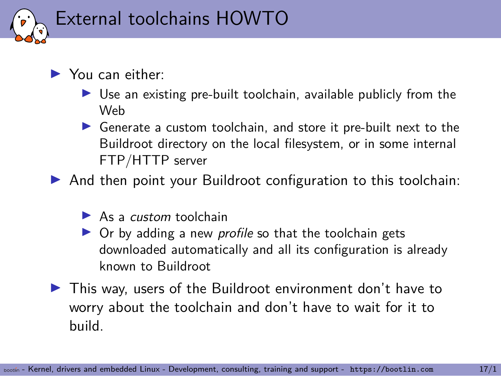

#### ▶ You can either:

- $\triangleright$  Use an existing pre-built toolchain, available publicly from the Web
- ▶ Generate a custom toolchain, and store it pre-built next to the Buildroot directory on the local filesystem, or in some internal FTP/HTTP server

▶ And then point your Buildroot configuration to this toolchain:

- ▶ As a *custom* toolchain
- ▶ Or by adding a new *profile* so that the toolchain gets downloaded automatically and all its configuration is already known to Buildroot
- ▶ This way, users of the Buildroot environment don't have to worry about the toolchain and don't have to wait for it to build.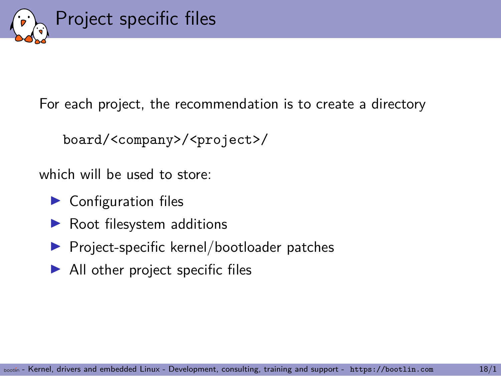

For each project, the recommendation is to create a directory

```
board/<company>/<project>/
```
which will be used to store:

- ▶ Configuration files
- ▶ Root filesystem additions
- ▶ Project-specific kernel/bootloader patches
- $\blacktriangleright$  All other project specific files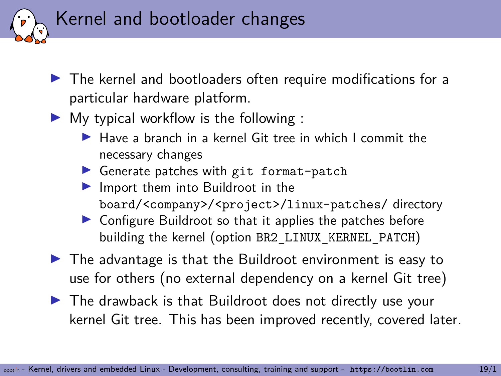

- ▶ The kernel and bootloaders often require modifications for a particular hardware platform.
- $\blacktriangleright$  My typical workflow is the following :
	- $\blacktriangleright$  Have a branch in a kernel Git tree in which I commit the necessary changes
	- ▶ Generate patches with git format-patch
	- ▶ Import them into Buildroot in the board/<company>/<project>/linux-patches/ directory
	- ▶ Configure Buildroot so that it applies the patches before building the kernel (option BR2 LINUX KERNEL PATCH)
- $\blacktriangleright$  The advantage is that the Buildroot environment is easy to use for others (no external dependency on a kernel Git tree)
- ▶ The drawback is that Buildroot does not directly use your kernel Git tree. This has been improved recently, covered later.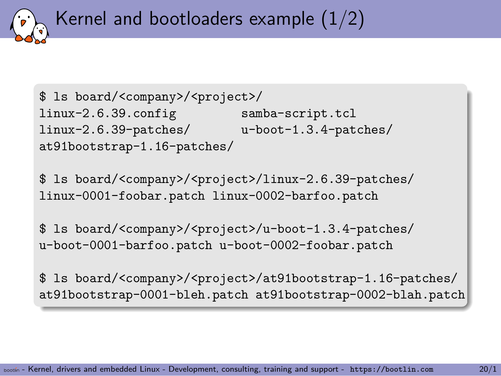Kernel and bootloaders example  $(1/2)$ 

\$ ls board/<company>/<project>/ linux-2.6.39.config samba-script.tcl linux-2.6.39-patches/ u-boot-1.3.4-patches/ at91bootstrap-1.16-patches/

\$ ls board/<company>/<project>/linux-2.6.39-patches/ linux-0001-foobar.patch linux-0002-barfoo.patch

\$ ls board/<company>/<project>/u-boot-1.3.4-patches/ u-boot-0001-barfoo.patch u-boot-0002-foobar.patch

\$ ls board/<company>/<project>/at91bootstrap-1.16-patches/ at91bootstrap-0001-bleh.patch at91bootstrap-0002-blah.patch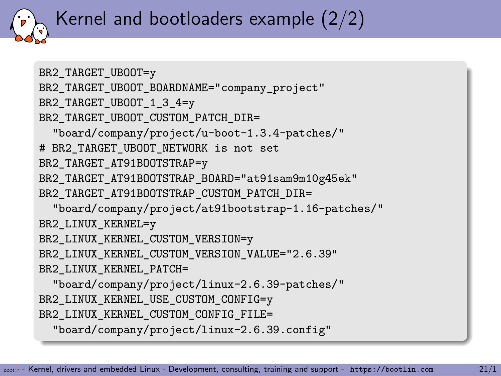### Kernel and bootloaders example (2/2)

```
BR2_TARGET_UBOOT=y
BR2_TARGET_UBOOT_BOARDNAME="company_project"
BR2_TARGET_UBOOT_1_3_4=y
BR2_TARGET_UBOOT_CUSTOM_PATCH_DIR=
  "board/company/project/u-boot-1.3.4-patches/"
# BR2_TARGET_UBOOT_NETWORK is not set
BR2_TARGET_AT91BOOTSTRAP=y
BR2_TARGET_AT91BOOTSTRAP_BOARD="at91sam9m10g45ek"
BR2_TARGET_AT91BOOTSTRAP_CUSTOM_PATCH_DIR=
  "board/company/project/at91bootstrap-1.16-patches/"
BR2_LINUX_KERNEL=y
BR2_LINUX_KERNEL_CUSTOM_VERSION=y
BR2_LINUX_KERNEL_CUSTOM_VERSION_VALUE="2.6.39"
BR2 LINUX KERNEL PATCH=
  "board/company/project/linux-2.6.39-patches/"
BR2_LINUX_KERNEL_USE_CUSTOM_CONFIG=y
BR2_LINUX_KERNEL_CUSTOM_CONFIG_FILE=
  "board/company/project/linux-2.6.39.config"
```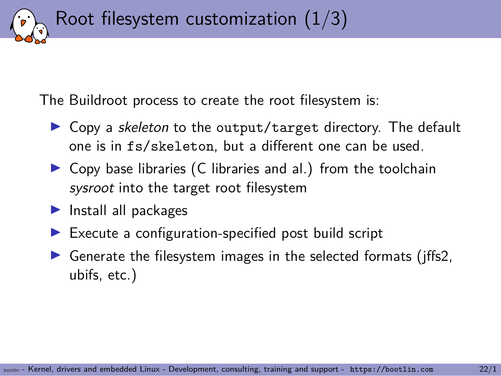Root filesystem customization  $(1/3)$ 

The Buildroot process to create the root filesystem is:

- ▶ Copy a *skeleton* to the output/target directory. The default one is in fs/skeleton, but a different one can be used.
- $\triangleright$  Copy base libraries (C libraries and al.) from the toolchain *sysroot* into the target root filesystem
- ▶ Install all packages
- $\blacktriangleright$  Execute a configuration-specified post build script
- $\triangleright$  Generate the filesystem images in the selected formats (jffs2, ubifs, etc.)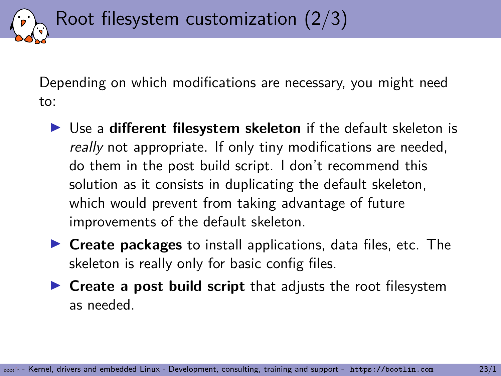Depending on which modifications are necessary, you might need to:

Root filesystem customization (2/3)

- ▶ Use a **different filesystem skeleton** if the default skeleton is *really* not appropriate. If only tiny modifications are needed, do them in the post build script. I don't recommend this solution as it consists in duplicating the default skeleton, which would prevent from taking advantage of future improvements of the default skeleton.
- ▶ **Create packages** to install applications, data files, etc. The skeleton is really only for basic config files.
- ▶ **Create a post build script** that adjusts the root filesystem as needed.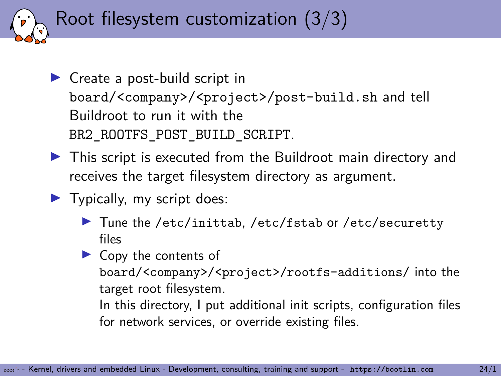Root filesystem customization (3/3)

- ▶ Create a post-build script in board/<company>/<project>/post-build.sh and tell Buildroot to run it with the BR2\_ROOTFS\_POST\_BUILD\_SCRIPT.
- ▶ This script is executed from the Buildroot main directory and receives the target filesystem directory as argument.
- $\blacktriangleright$  Typically, my script does:
	- ▶ Tune the /etc/inittab, /etc/fstab or /etc/securetty files
	- $\triangleright$  Copy the contents of board/<company>/<project>/rootfs-additions/ into the target root filesystem.

In this directory, I put additional init scripts, configuration files for network services, or override existing files.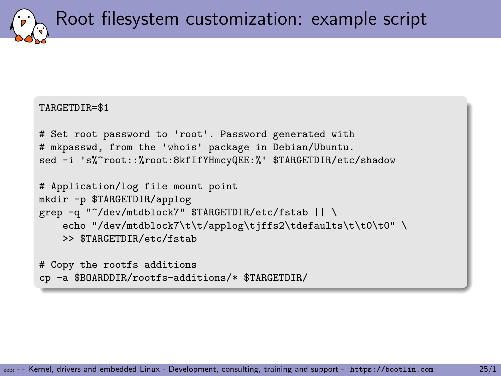Root filesystem customization: example script

#### TARGETDIR=\$1

```
# Set root password to 'root'. Password generated with
# mkpasswd, from the 'whois' package in Debian/Ubuntu.
sed -i 's%^root::%root:8kfIfYHmcyQEE:%' $TARGETDIR/etc/shadow
```

```
# Application/log file mount point
mkdir -p $TARGETDIR/applog
grep -q "^/dev/mtdblock7" $TARGETDIR/etc/fstab || \
    echo "/dev/mtdblock7\t\t/applog\tjffs2\tdefaults\t\t0\t0" \
    >> $TARGETDIR/etc/fstab
```

```
# Copy the rootfs additions
cp -a $BOARDDIR/rootfs-additions/* $TARGETDIR/
```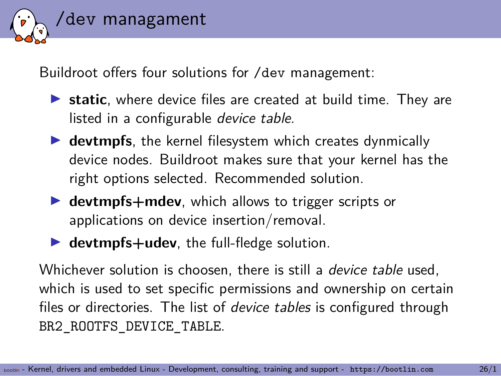

Buildroot offers four solutions for /dev management:

- ▶ **static**, where device files are created at build time. They are listed in a configurable *device table*.
- ▶ **devtmpfs**, the kernel filesystem which creates dynmically device nodes. Buildroot makes sure that your kernel has the right options selected. Recommended solution.
- ▶ **devtmpfs+mdev**, which allows to trigger scripts or applications on device insertion/removal.
- ▶ **devtmpfs+udev**, the full-fledge solution.

Whichever solution is choosen, there is still a *device table* used, which is used to set specific permissions and ownership on certain files or directories. The list of *device tables* is configured through BR2\_ROOTFS\_DEVICE\_TABLE.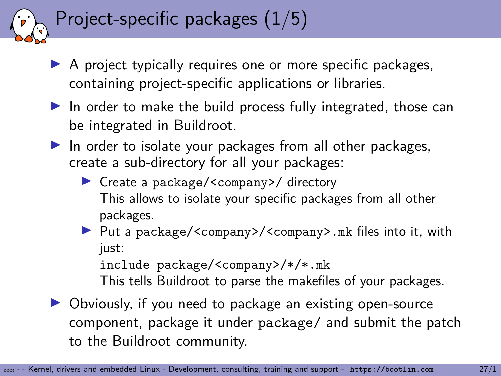## Project-specific packages (1/5)

- ▶ A project typically requires one or more specific packages, containing project-specific applications or libraries.
- $\blacktriangleright$  In order to make the build process fully integrated, those can be integrated in Buildroot.
- $\blacktriangleright$  In order to isolate your packages from all other packages, create a sub-directory for all your packages:
	- ▶ Create a package/<company>/ directory This allows to isolate your specific packages from all other packages.
	- ▶ Put a package/<company>/<company>.mk files into it, with just:

include package/<company>/\*/\*.mk

This tells Buildroot to parse the makefiles of your packages.

▶ Obviously, if you need to package an existing open-source component, package it under package/ and submit the patch to the Buildroot community.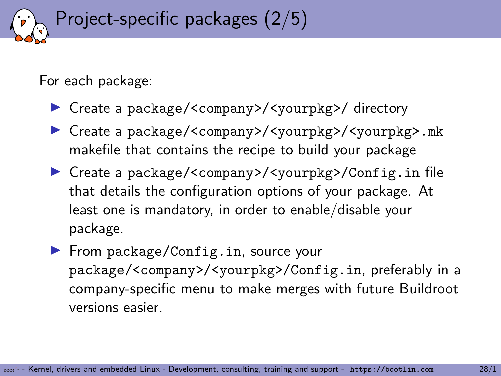## Project-specific packages (2/5)

For each package:

- ▶ Create a package/<company>/<yourpkg>/ directory
- ▶ Create a package/<company>/<yourpkg>/<yourpkg>.mk makefile that contains the recipe to build your package
- ▶ Create a package/<company>/<yourpkg>/Config.in file that details the configuration options of your package. At least one is mandatory, in order to enable/disable your package.
- ▶ From package/Config.in, source your package/<company>/<yourpkg>/Config.in, preferably in a company-specific menu to make merges with future Buildroot versions easier.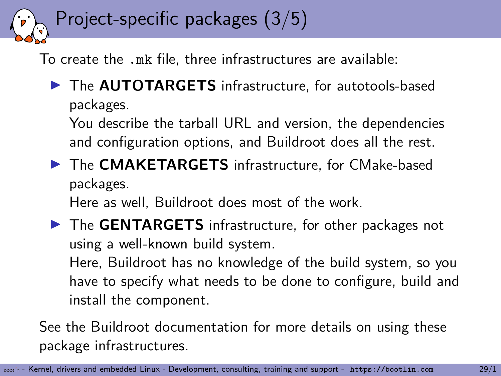## Project-specific packages (3/5)

To create the .mk file, three infrastructures are available:

▶ The **AUTOTARGETS** infrastructure, for autotools-based packages.

You describe the tarball URL and version, the dependencies and configuration options, and Buildroot does all the rest.

▶ The **CMAKETARGETS** infrastructure, for CMake-based packages.

Here as well, Buildroot does most of the work.

▶ The **GENTARGETS** infrastructure, for other packages not using a well-known build system.

Here, Buildroot has no knowledge of the build system, so you have to specify what needs to be done to configure, build and install the component.

See the Buildroot documentation for more details on using these package infrastructures.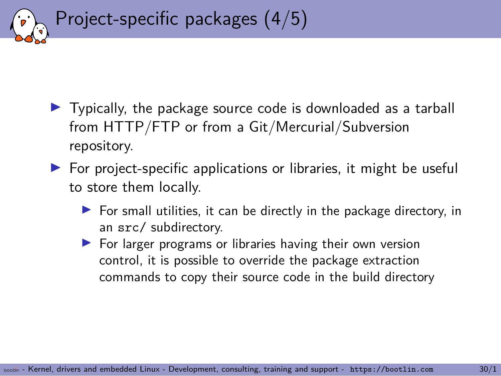

- ▶ Typically, the package source code is downloaded as a tarball from HTTP/FTP or from a Git/Mercurial/Subversion repository.
- $\triangleright$  For project-specific applications or libraries, it might be useful to store them locally.
	- $\triangleright$  For small utilities, it can be directly in the package directory, in an src/ subdirectory.
	- ▶ For larger programs or libraries having their own version control, it is possible to override the package extraction commands to copy their source code in the build directory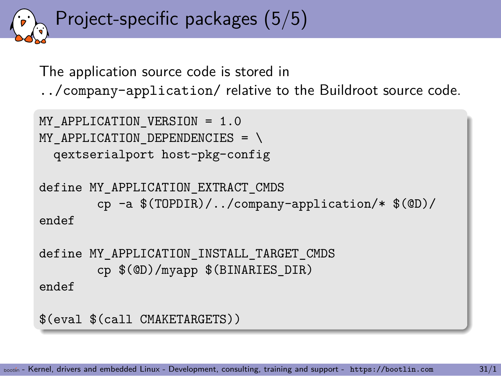```
Project-specific packages (5/5)
```
The application source code is stored in

../company-application/ relative to the Buildroot source code.

```
MY APPLICATION VERSION = 1.0
MY APPLICATION DEPENDENCIES = \setminusqextserialport host-pkg-config
define MY_APPLICATION_EXTRACT_CMDS
        cp -a $(TOPDIR)/../company-application/* $(@D)/
endef
define MY_APPLICATION_INSTALL_TARGET_CMDS
        cp $(@D)/myapp $(BINARIES_DIR)
endef
$(eval $(call CMAKETARGETS))
```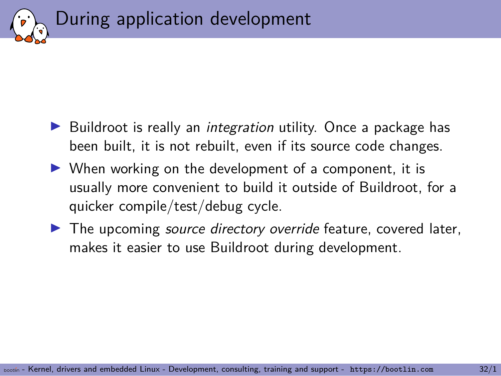

- ▶ Buildroot is really an *integration* utility. Once a package has been built, it is not rebuilt, even if its source code changes.
- $\triangleright$  When working on the development of a component, it is usually more convenient to build it outside of Buildroot, for a quicker compile/test/debug cycle.
- ▶ The upcoming *source directory override* feature, covered later, makes it easier to use Buildroot during development.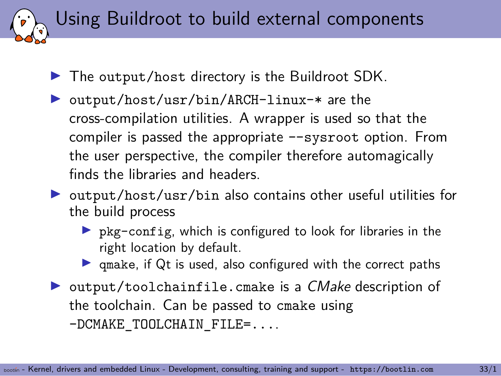Using Buildroot to build external components

- ▶ The output/host directory is the Buildroot SDK.
- ▶ output/host/usr/bin/ARCH-linux-\* are the cross-compilation utilities. A wrapper is used so that the compiler is passed the appropriate --sysroot option. From the user perspective, the compiler therefore automagically finds the libraries and headers.
- ▶ output/host/usr/bin also contains other useful utilities for the build process
	- $\triangleright$  pkg-config, which is configured to look for libraries in the right location by default.
	- $\triangleright$  qmake, if Qt is used, also configured with the correct paths
- ▶ output/toolchainfile.cmake is a *CMake* description of the toolchain. Can be passed to cmake using -DCMAKE\_TOOLCHAIN\_FILE=....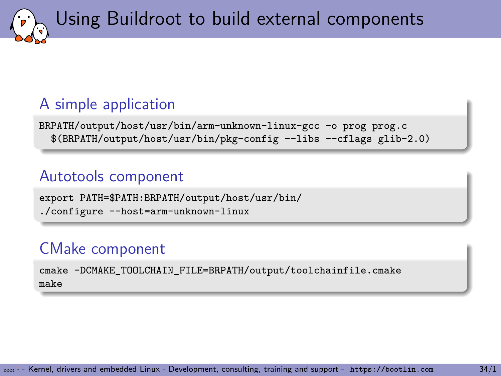Using Buildroot to build external components

### A simple application

BRPATH/output/host/usr/bin/arm-unknown-linux-gcc -o prog prog.c \$(BRPATH/output/host/usr/bin/pkg-config --libs --cflags glib-2.0)

### Autotools component

export PATH=\$PATH:BRPATH/output/host/usr/bin/ ./configure --host=arm-unknown-linux

### CMake component

cmake -DCMAKE\_TOOLCHAIN\_FILE=BRPATH/output/toolchainfile.cmake make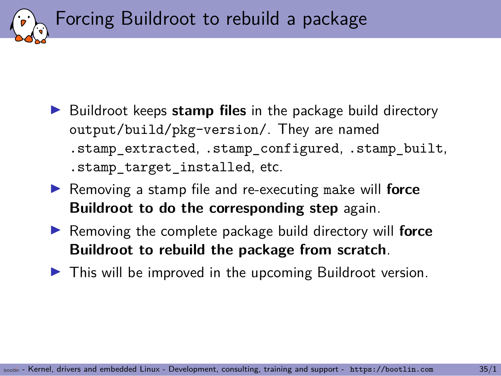Forcing Buildroot to rebuild a package

- ▶ Buildroot keeps **stamp files** in the package build directory output/build/pkg-version/. They are named .stamp\_extracted, .stamp\_configured, .stamp\_built, .stamp\_target\_installed, etc.
- ▶ Removing a stamp file and re-executing make will **force Buildroot to do the corresponding step** again.
- ▶ Removing the complete package build directory will **force Buildroot to rebuild the package from scratch**.
- ▶ This will be improved in the upcoming Buildroot version.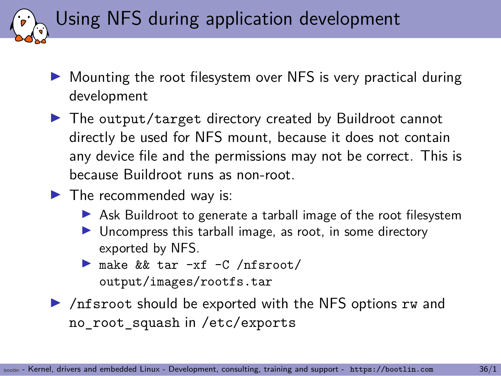Using NFS during application development

- ▶ Mounting the root filesystem over NFS is very practical during development
- ▶ The output/target directory created by Buildroot cannot directly be used for NFS mount, because it does not contain any device file and the permissions may not be correct. This is because Buildroot runs as non-root.
- $\blacktriangleright$  The recommended way is:
	- ▶ Ask Buildroot to generate a tarball image of the root filesystem
	- ▶ Uncompress this tarball image, as root, in some directory exported by NFS.
	- ▶ make && tar -xf -C /nfsroot/ output/images/rootfs.tar
- ▶ /nfsroot should be exported with the NFS options rw and no\_root\_squash in /etc/exports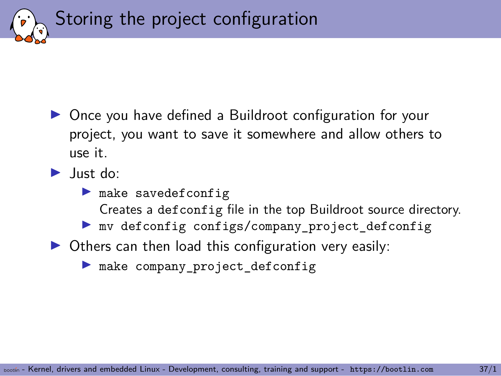Storing the project configuration

- ▶ Once you have defined a Buildroot configuration for your project, you want to save it somewhere and allow others to use it.
- ▶ Just do:
	- ▶ make savedefconfig Creates a defconfig file in the top Buildroot source directory.
	- ▶ mv defconfig configs/company\_project\_defconfig
- $\triangleright$  Others can then load this configuration very easily:
	- ▶ make company\_project\_defconfig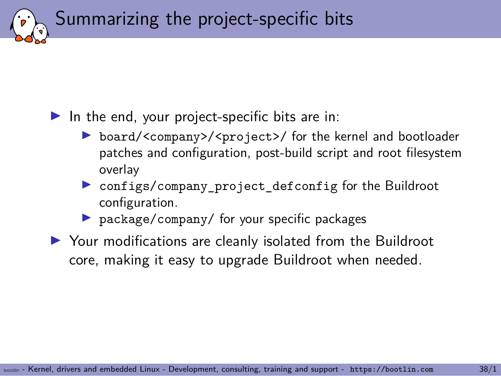Summarizing the project-specific bits

### $\blacktriangleright$  In the end, your project-specific bits are in:

- ▶ board/<company>/<project>/ for the kernel and bootloader patches and configuration, post-build script and root filesystem overlay
- ▶ configs/company\_project\_defconfig for the Buildroot configuration.
- ▶ package/company/ for your specific packages
- ▶ Your modifications are cleanly isolated from the Buildroot core, making it easy to upgrade Buildroot when needed.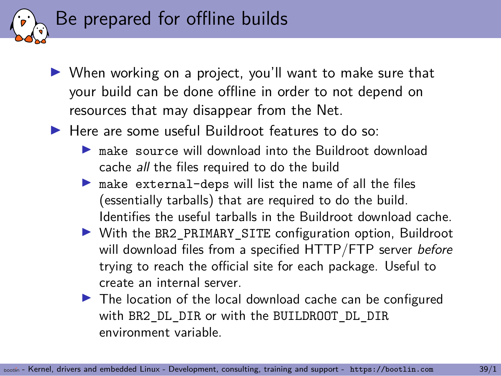

- ▶ When working on a project, you'll want to make sure that your build can be done offline in order to not depend on resources that may disappear from the Net.
- ▶ Here are some useful Buildroot features to do so:
	- ▶ make source will download into the Buildroot download cache *all* the files required to do the build
	- $\blacktriangleright$  make external-deps will list the name of all the files (essentially tarballs) that are required to do the build. Identifies the useful tarballs in the Buildroot download cache.
	- ▶ With the BR2\_PRIMARY\_SITE configuration option, Buildroot will download files from a specified HTTP/FTP server *before* trying to reach the official site for each package. Useful to create an internal server.
	- ▶ The location of the local download cache can be configured with BR2 DL DIR or with the BUILDROOT DL DIR environment variable.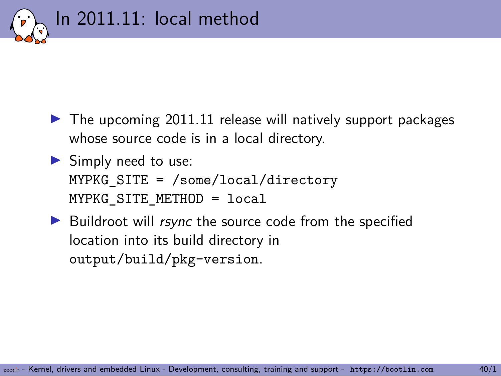

- $\blacktriangleright$  The upcoming 2011.11 release will natively support packages whose source code is in a local directory.
- $\blacktriangleright$  Simply need to use: MYPKG SITE =  $/$ some $/$ local $/$ directory MYPKG SITE METHOD = local
- ▶ Buildroot will *rsync* the source code from the specified location into its build directory in output/build/pkg-version.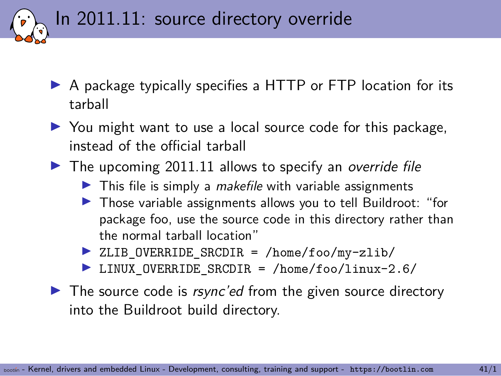In 2011.11: source directory override

- ▶ A package typically specifies a HTTP or FTP location for its tarball
- ▶ You might want to use a local source code for this package, instead of the official tarball
- ▶ The upcoming 2011.11 allows to specify an *override file* 
	- ▶ This file is simply a *makefile* with variable assignments
	- ▶ Those variable assignments allows you to tell Buildroot: "for package foo, use the source code in this directory rather than the normal tarball location"
	- ▶ ZLIB OVERRIDE SRCDIR = /home/foo/my-zlib/
	- ▶ LINUX OVERRIDE SRCDIR = /home/foo/linux-2.6/
- ▶ The source code is *rsync'ed* from the given source directory into the Buildroot build directory.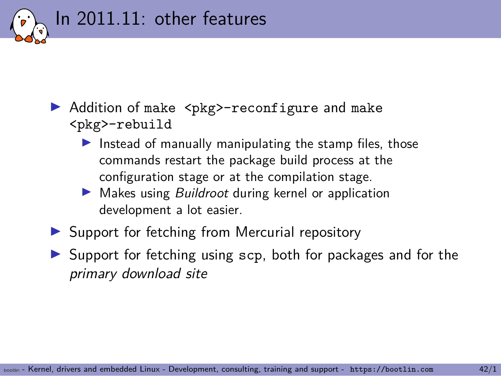

- ▶ Addition of make <pkg>-reconfigure and make <pkg>-rebuild
	- $\blacktriangleright$  Instead of manually manipulating the stamp files, those commands restart the package build process at the configuration stage or at the compilation stage.
	- ▶ Makes using *Buildroot* during kernel or application development a lot easier.
- ▶ Support for fetching from Mercurial repository
- ▶ Support for fetching using scp, both for packages and for the *primary download site*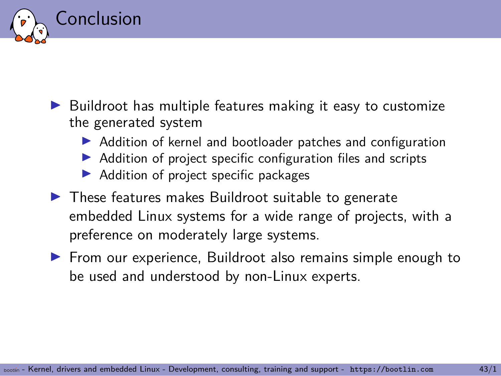

- ▶ Buildroot has multiple features making it easy to customize the generated system
	- ▶ Addition of kernel and bootloader patches and configuration
	- ▶ Addition of project specific configuration files and scripts
	- ▶ Addition of project specific packages
- ▶ These features makes Buildroot suitable to generate embedded Linux systems for a wide range of projects, with a preference on moderately large systems.
- ▶ From our experience, Buildroot also remains simple enough to be used and understood by non-Linux experts.